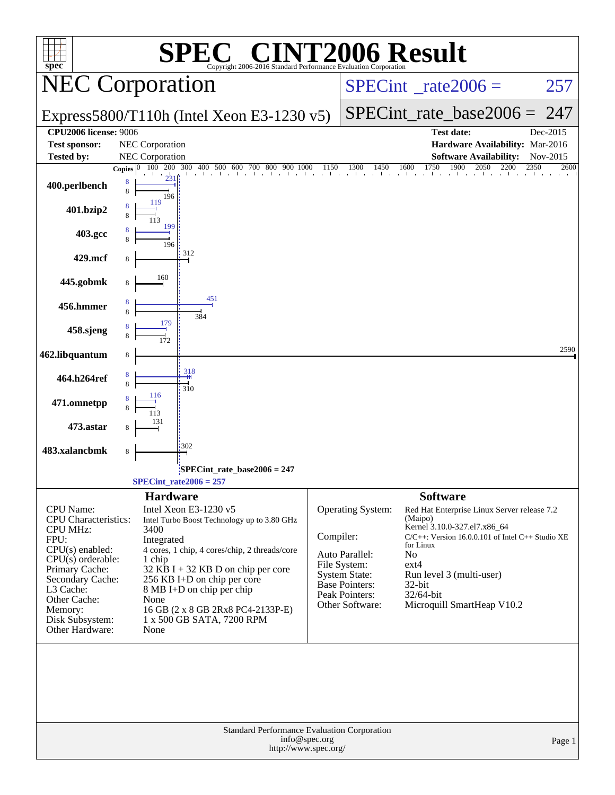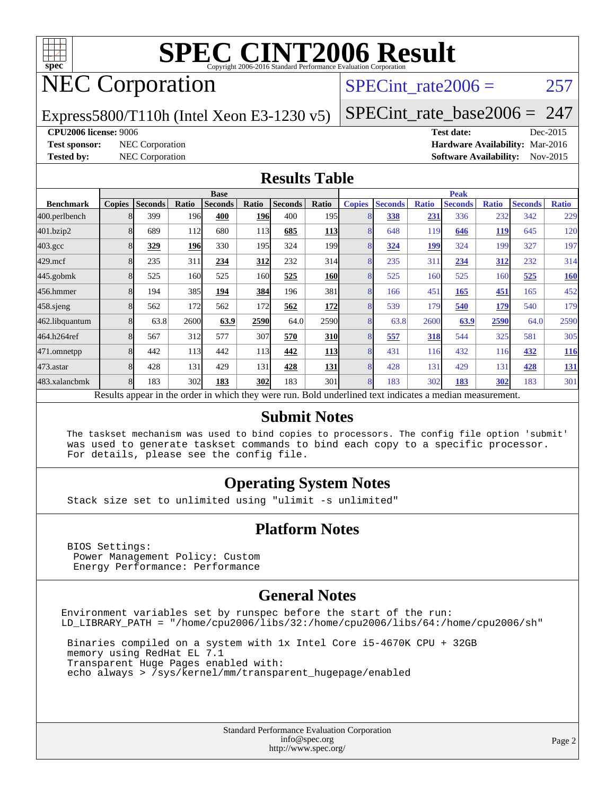

# NEC Corporation

### SPECint rate $2006 = 257$

Express5800/T110h (Intel Xeon E3-1230 v5)

[SPECint\\_rate\\_base2006 =](http://www.spec.org/auto/cpu2006/Docs/result-fields.html#SPECintratebase2006) 247

#### **[CPU2006 license:](http://www.spec.org/auto/cpu2006/Docs/result-fields.html#CPU2006license)** 9006 **[Test date:](http://www.spec.org/auto/cpu2006/Docs/result-fields.html#Testdate)** Dec-2015

**[Test sponsor:](http://www.spec.org/auto/cpu2006/Docs/result-fields.html#Testsponsor)** NEC Corporation **[Hardware Availability:](http://www.spec.org/auto/cpu2006/Docs/result-fields.html#HardwareAvailability)** Mar-2016 **[Tested by:](http://www.spec.org/auto/cpu2006/Docs/result-fields.html#Testedby)** NEC Corporation **[Software Availability:](http://www.spec.org/auto/cpu2006/Docs/result-fields.html#SoftwareAvailability)** Nov-2015

#### **[Results Table](http://www.spec.org/auto/cpu2006/Docs/result-fields.html#ResultsTable)**

|                                                                                                          | <b>Base</b>   |                |       |                |            | <b>Peak</b>    |                  |                |                |              |                |              |                |              |
|----------------------------------------------------------------------------------------------------------|---------------|----------------|-------|----------------|------------|----------------|------------------|----------------|----------------|--------------|----------------|--------------|----------------|--------------|
| <b>Benchmark</b>                                                                                         | <b>Copies</b> | <b>Seconds</b> | Ratio | <b>Seconds</b> | Ratio      | <b>Seconds</b> | Ratio            | <b>Copies</b>  | <b>Seconds</b> | <b>Ratio</b> | <b>Seconds</b> | <b>Ratio</b> | <b>Seconds</b> | <b>Ratio</b> |
| 400.perlbench                                                                                            |               | 399            | 196   | 400            | 196        | 400            | 195 <sub>l</sub> |                | 338            | 231          | 336            | 232          | 342            | 229          |
| 401.bzip2                                                                                                |               | 689            | 112   | 680            | 113        | 685            | <b>113</b>       |                | 648            | 119          | 646            | <u>119</u>   | 645            | 120          |
| $403.\text{gcc}$                                                                                         |               | 329            | 196   | 330            | 195        | 324            | 199 <sub>1</sub> | 8              | 324            | 199          | 324            | 199          | 327            | 197          |
| $429$ .mcf                                                                                               |               | 235            | 311   | 234            | 312        | 232            | 314              | 8              | 235            | 311          | 234            | 312          | 232            | 314          |
| $445$ .gobmk                                                                                             |               | 525            | 160   | 525            | 160        | 525            | <b>160</b>       |                | 525            | 160          | 525            | 160          | 525            | <b>160</b>   |
| 456.hmmer                                                                                                |               | 194            | 385   | 194            | 384        | 196            | 381              | 8              | 166            | 451          | 165            | 451          | 165            | 452          |
| $458$ .sjeng                                                                                             |               | 562            | 172   | 562            | 172        | 562            | 172              | $\overline{8}$ | 539            | 179          | 540            | 179          | 540            | 179          |
| 462.libquantum                                                                                           |               | 63.8           | 2600  | 63.9           | 2590       | 64.0           | 2590             | 8              | 63.8           | 2600         | 63.9           | 2590         | 64.0           | 2590         |
| 464.h264ref                                                                                              |               | 567            | 312   | 577            | 307        | 570            | <b>310</b>       |                | 557            | 318          | 544            | 325          | 581            | 305          |
| 471.omnetpp                                                                                              |               | 442            | 113   | 442            | 113        | 442            | <u>113</u>       |                | 431            | 116          | 432            | 116          | 432            | <u>116</u>   |
| 473.astar                                                                                                |               | 428            | 131   | 429            | 131        | 428            | 131              | 8              | 428            | 131          | 429            | 131          | 428            | <b>131</b>   |
| 483.xalancbmk                                                                                            |               | 183            | 302   | 183            | <b>302</b> | 183            | 301              | 8              | 183            | 302          | 183            | 302          | 183            | 301          |
| Results appear in the order in which they were run. Bold underlined text indicates a median measurement. |               |                |       |                |            |                |                  |                |                |              |                |              |                |              |

#### **[Submit Notes](http://www.spec.org/auto/cpu2006/Docs/result-fields.html#SubmitNotes)**

 The taskset mechanism was used to bind copies to processors. The config file option 'submit' was used to generate taskset commands to bind each copy to a specific processor. For details, please see the config file.

### **[Operating System Notes](http://www.spec.org/auto/cpu2006/Docs/result-fields.html#OperatingSystemNotes)**

Stack size set to unlimited using "ulimit -s unlimited"

### **[Platform Notes](http://www.spec.org/auto/cpu2006/Docs/result-fields.html#PlatformNotes)**

 BIOS Settings: Power Management Policy: Custom Energy Performance: Performance

### **[General Notes](http://www.spec.org/auto/cpu2006/Docs/result-fields.html#GeneralNotes)**

Environment variables set by runspec before the start of the run: LD\_LIBRARY\_PATH = "/home/cpu2006/libs/32:/home/cpu2006/libs/64:/home/cpu2006/sh"

 Binaries compiled on a system with 1x Intel Core i5-4670K CPU + 32GB memory using RedHat EL 7.1 Transparent Huge Pages enabled with: echo always > /sys/kernel/mm/transparent\_hugepage/enabled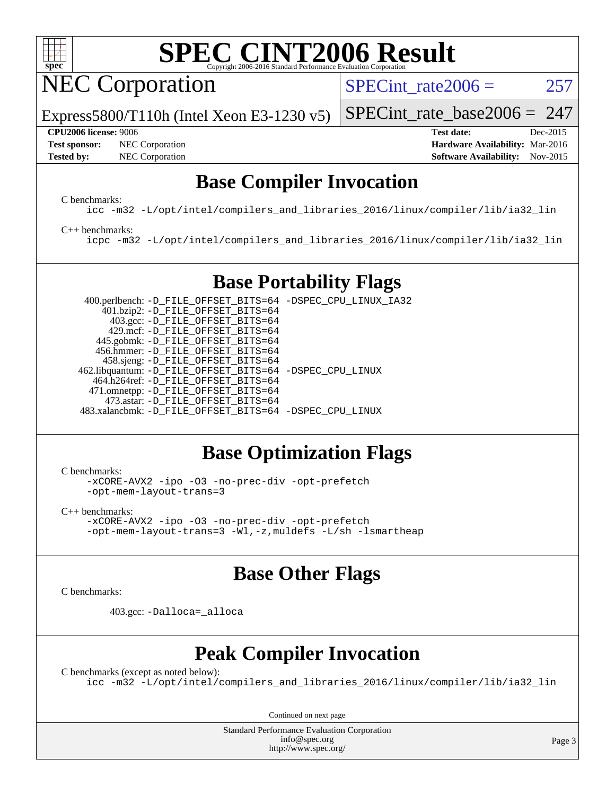

NEC Corporation

SPECint rate $2006 = 257$ 

[SPECint\\_rate\\_base2006 =](http://www.spec.org/auto/cpu2006/Docs/result-fields.html#SPECintratebase2006) 247

Express5800/T110h (Intel Xeon E3-1230 v5)

**[Tested by:](http://www.spec.org/auto/cpu2006/Docs/result-fields.html#Testedby)** NEC Corporation **[Software Availability:](http://www.spec.org/auto/cpu2006/Docs/result-fields.html#SoftwareAvailability)** Nov-2015

**[CPU2006 license:](http://www.spec.org/auto/cpu2006/Docs/result-fields.html#CPU2006license)** 9006 **[Test date:](http://www.spec.org/auto/cpu2006/Docs/result-fields.html#Testdate)** Dec-2015 **[Test sponsor:](http://www.spec.org/auto/cpu2006/Docs/result-fields.html#Testsponsor)** NEC Corporation **NEC Corporation [Hardware Availability:](http://www.spec.org/auto/cpu2006/Docs/result-fields.html#HardwareAvailability)** Mar-2016

### **[Base Compiler Invocation](http://www.spec.org/auto/cpu2006/Docs/result-fields.html#BaseCompilerInvocation)**

[C benchmarks](http://www.spec.org/auto/cpu2006/Docs/result-fields.html#Cbenchmarks):

[icc -m32 -L/opt/intel/compilers\\_and\\_libraries\\_2016/linux/compiler/lib/ia32\\_lin](http://www.spec.org/cpu2006/results/res2016q1/cpu2006-20160125-38820.flags.html#user_CCbase_intel_icc_e10256ba5924b668798078a321b0cb3f)

[C++ benchmarks:](http://www.spec.org/auto/cpu2006/Docs/result-fields.html#CXXbenchmarks)

[icpc -m32 -L/opt/intel/compilers\\_and\\_libraries\\_2016/linux/compiler/lib/ia32\\_lin](http://www.spec.org/cpu2006/results/res2016q1/cpu2006-20160125-38820.flags.html#user_CXXbase_intel_icpc_b4f50a394bdb4597aa5879c16bc3f5c5)

### **[Base Portability Flags](http://www.spec.org/auto/cpu2006/Docs/result-fields.html#BasePortabilityFlags)**

 400.perlbench: [-D\\_FILE\\_OFFSET\\_BITS=64](http://www.spec.org/cpu2006/results/res2016q1/cpu2006-20160125-38820.flags.html#user_basePORTABILITY400_perlbench_file_offset_bits_64_438cf9856305ebd76870a2c6dc2689ab) [-DSPEC\\_CPU\\_LINUX\\_IA32](http://www.spec.org/cpu2006/results/res2016q1/cpu2006-20160125-38820.flags.html#b400.perlbench_baseCPORTABILITY_DSPEC_CPU_LINUX_IA32) 401.bzip2: [-D\\_FILE\\_OFFSET\\_BITS=64](http://www.spec.org/cpu2006/results/res2016q1/cpu2006-20160125-38820.flags.html#user_basePORTABILITY401_bzip2_file_offset_bits_64_438cf9856305ebd76870a2c6dc2689ab) 403.gcc: [-D\\_FILE\\_OFFSET\\_BITS=64](http://www.spec.org/cpu2006/results/res2016q1/cpu2006-20160125-38820.flags.html#user_basePORTABILITY403_gcc_file_offset_bits_64_438cf9856305ebd76870a2c6dc2689ab) 429.mcf: [-D\\_FILE\\_OFFSET\\_BITS=64](http://www.spec.org/cpu2006/results/res2016q1/cpu2006-20160125-38820.flags.html#user_basePORTABILITY429_mcf_file_offset_bits_64_438cf9856305ebd76870a2c6dc2689ab) 445.gobmk: [-D\\_FILE\\_OFFSET\\_BITS=64](http://www.spec.org/cpu2006/results/res2016q1/cpu2006-20160125-38820.flags.html#user_basePORTABILITY445_gobmk_file_offset_bits_64_438cf9856305ebd76870a2c6dc2689ab) 456.hmmer: [-D\\_FILE\\_OFFSET\\_BITS=64](http://www.spec.org/cpu2006/results/res2016q1/cpu2006-20160125-38820.flags.html#user_basePORTABILITY456_hmmer_file_offset_bits_64_438cf9856305ebd76870a2c6dc2689ab) 458.sjeng: [-D\\_FILE\\_OFFSET\\_BITS=64](http://www.spec.org/cpu2006/results/res2016q1/cpu2006-20160125-38820.flags.html#user_basePORTABILITY458_sjeng_file_offset_bits_64_438cf9856305ebd76870a2c6dc2689ab) 462.libquantum: [-D\\_FILE\\_OFFSET\\_BITS=64](http://www.spec.org/cpu2006/results/res2016q1/cpu2006-20160125-38820.flags.html#user_basePORTABILITY462_libquantum_file_offset_bits_64_438cf9856305ebd76870a2c6dc2689ab) [-DSPEC\\_CPU\\_LINUX](http://www.spec.org/cpu2006/results/res2016q1/cpu2006-20160125-38820.flags.html#b462.libquantum_baseCPORTABILITY_DSPEC_CPU_LINUX) 464.h264ref: [-D\\_FILE\\_OFFSET\\_BITS=64](http://www.spec.org/cpu2006/results/res2016q1/cpu2006-20160125-38820.flags.html#user_basePORTABILITY464_h264ref_file_offset_bits_64_438cf9856305ebd76870a2c6dc2689ab) 471.omnetpp: [-D\\_FILE\\_OFFSET\\_BITS=64](http://www.spec.org/cpu2006/results/res2016q1/cpu2006-20160125-38820.flags.html#user_basePORTABILITY471_omnetpp_file_offset_bits_64_438cf9856305ebd76870a2c6dc2689ab) 473.astar: [-D\\_FILE\\_OFFSET\\_BITS=64](http://www.spec.org/cpu2006/results/res2016q1/cpu2006-20160125-38820.flags.html#user_basePORTABILITY473_astar_file_offset_bits_64_438cf9856305ebd76870a2c6dc2689ab) 483.xalancbmk: [-D\\_FILE\\_OFFSET\\_BITS=64](http://www.spec.org/cpu2006/results/res2016q1/cpu2006-20160125-38820.flags.html#user_basePORTABILITY483_xalancbmk_file_offset_bits_64_438cf9856305ebd76870a2c6dc2689ab) [-DSPEC\\_CPU\\_LINUX](http://www.spec.org/cpu2006/results/res2016q1/cpu2006-20160125-38820.flags.html#b483.xalancbmk_baseCXXPORTABILITY_DSPEC_CPU_LINUX)

### **[Base Optimization Flags](http://www.spec.org/auto/cpu2006/Docs/result-fields.html#BaseOptimizationFlags)**

[C benchmarks](http://www.spec.org/auto/cpu2006/Docs/result-fields.html#Cbenchmarks):

[-xCORE-AVX2](http://www.spec.org/cpu2006/results/res2016q1/cpu2006-20160125-38820.flags.html#user_CCbase_f-xAVX2_5f5fc0cbe2c9f62c816d3e45806c70d7) [-ipo](http://www.spec.org/cpu2006/results/res2016q1/cpu2006-20160125-38820.flags.html#user_CCbase_f-ipo) [-O3](http://www.spec.org/cpu2006/results/res2016q1/cpu2006-20160125-38820.flags.html#user_CCbase_f-O3) [-no-prec-div](http://www.spec.org/cpu2006/results/res2016q1/cpu2006-20160125-38820.flags.html#user_CCbase_f-no-prec-div) [-opt-prefetch](http://www.spec.org/cpu2006/results/res2016q1/cpu2006-20160125-38820.flags.html#user_CCbase_f-opt-prefetch) [-opt-mem-layout-trans=3](http://www.spec.org/cpu2006/results/res2016q1/cpu2006-20160125-38820.flags.html#user_CCbase_f-opt-mem-layout-trans_a7b82ad4bd7abf52556d4961a2ae94d5)

[C++ benchmarks:](http://www.spec.org/auto/cpu2006/Docs/result-fields.html#CXXbenchmarks) [-xCORE-AVX2](http://www.spec.org/cpu2006/results/res2016q1/cpu2006-20160125-38820.flags.html#user_CXXbase_f-xAVX2_5f5fc0cbe2c9f62c816d3e45806c70d7) [-ipo](http://www.spec.org/cpu2006/results/res2016q1/cpu2006-20160125-38820.flags.html#user_CXXbase_f-ipo) [-O3](http://www.spec.org/cpu2006/results/res2016q1/cpu2006-20160125-38820.flags.html#user_CXXbase_f-O3) [-no-prec-div](http://www.spec.org/cpu2006/results/res2016q1/cpu2006-20160125-38820.flags.html#user_CXXbase_f-no-prec-div) [-opt-prefetch](http://www.spec.org/cpu2006/results/res2016q1/cpu2006-20160125-38820.flags.html#user_CXXbase_f-opt-prefetch) [-opt-mem-layout-trans=3](http://www.spec.org/cpu2006/results/res2016q1/cpu2006-20160125-38820.flags.html#user_CXXbase_f-opt-mem-layout-trans_a7b82ad4bd7abf52556d4961a2ae94d5) [-Wl,-z,muldefs](http://www.spec.org/cpu2006/results/res2016q1/cpu2006-20160125-38820.flags.html#user_CXXbase_link_force_multiple1_74079c344b956b9658436fd1b6dd3a8a) [-L/sh -lsmartheap](http://www.spec.org/cpu2006/results/res2016q1/cpu2006-20160125-38820.flags.html#user_CXXbase_SmartHeap_32f6c82aa1ed9c52345d30cf6e4a0499)

### **[Base Other Flags](http://www.spec.org/auto/cpu2006/Docs/result-fields.html#BaseOtherFlags)**

[C benchmarks](http://www.spec.org/auto/cpu2006/Docs/result-fields.html#Cbenchmarks):

403.gcc: [-Dalloca=\\_alloca](http://www.spec.org/cpu2006/results/res2016q1/cpu2006-20160125-38820.flags.html#b403.gcc_baseEXTRA_CFLAGS_Dalloca_be3056838c12de2578596ca5467af7f3)

### **[Peak Compiler Invocation](http://www.spec.org/auto/cpu2006/Docs/result-fields.html#PeakCompilerInvocation)**

[C benchmarks \(except as noted below\)](http://www.spec.org/auto/cpu2006/Docs/result-fields.html#Cbenchmarksexceptasnotedbelow): [icc -m32 -L/opt/intel/compilers\\_and\\_libraries\\_2016/linux/compiler/lib/ia32\\_lin](http://www.spec.org/cpu2006/results/res2016q1/cpu2006-20160125-38820.flags.html#user_CCpeak_intel_icc_e10256ba5924b668798078a321b0cb3f)

Continued on next page

Standard Performance Evaluation Corporation [info@spec.org](mailto:info@spec.org) <http://www.spec.org/>

Page 3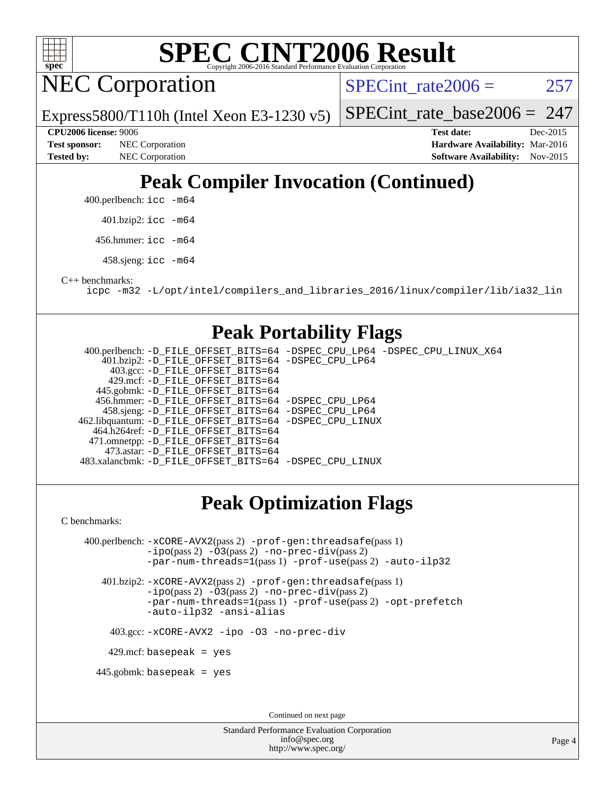

NEC Corporation

SPECint rate $2006 = 257$ 

Express5800/T110h (Intel Xeon E3-1230 v5)

[SPECint\\_rate\\_base2006 =](http://www.spec.org/auto/cpu2006/Docs/result-fields.html#SPECintratebase2006)  $247$ 

**[Tested by:](http://www.spec.org/auto/cpu2006/Docs/result-fields.html#Testedby)** NEC Corporation **[Software Availability:](http://www.spec.org/auto/cpu2006/Docs/result-fields.html#SoftwareAvailability)** Nov-2015

**[CPU2006 license:](http://www.spec.org/auto/cpu2006/Docs/result-fields.html#CPU2006license)** 9006 **[Test date:](http://www.spec.org/auto/cpu2006/Docs/result-fields.html#Testdate)** Dec-2015 **[Test sponsor:](http://www.spec.org/auto/cpu2006/Docs/result-fields.html#Testsponsor)** NEC Corporation **NEC Corporation [Hardware Availability:](http://www.spec.org/auto/cpu2006/Docs/result-fields.html#HardwareAvailability)** Mar-2016

## **[Peak Compiler Invocation \(Continued\)](http://www.spec.org/auto/cpu2006/Docs/result-fields.html#PeakCompilerInvocation)**

400.perlbench: [icc -m64](http://www.spec.org/cpu2006/results/res2016q1/cpu2006-20160125-38820.flags.html#user_peakCCLD400_perlbench_intel_icc_64bit_bda6cc9af1fdbb0edc3795bac97ada53)

401.bzip2: [icc -m64](http://www.spec.org/cpu2006/results/res2016q1/cpu2006-20160125-38820.flags.html#user_peakCCLD401_bzip2_intel_icc_64bit_bda6cc9af1fdbb0edc3795bac97ada53)

456.hmmer: [icc -m64](http://www.spec.org/cpu2006/results/res2016q1/cpu2006-20160125-38820.flags.html#user_peakCCLD456_hmmer_intel_icc_64bit_bda6cc9af1fdbb0edc3795bac97ada53)

458.sjeng: [icc -m64](http://www.spec.org/cpu2006/results/res2016q1/cpu2006-20160125-38820.flags.html#user_peakCCLD458_sjeng_intel_icc_64bit_bda6cc9af1fdbb0edc3795bac97ada53)

[C++ benchmarks:](http://www.spec.org/auto/cpu2006/Docs/result-fields.html#CXXbenchmarks)

[icpc -m32 -L/opt/intel/compilers\\_and\\_libraries\\_2016/linux/compiler/lib/ia32\\_lin](http://www.spec.org/cpu2006/results/res2016q1/cpu2006-20160125-38820.flags.html#user_CXXpeak_intel_icpc_b4f50a394bdb4597aa5879c16bc3f5c5)

### **[Peak Portability Flags](http://www.spec.org/auto/cpu2006/Docs/result-fields.html#PeakPortabilityFlags)**

 400.perlbench: [-D\\_FILE\\_OFFSET\\_BITS=64](http://www.spec.org/cpu2006/results/res2016q1/cpu2006-20160125-38820.flags.html#user_peakPORTABILITY400_perlbench_file_offset_bits_64_438cf9856305ebd76870a2c6dc2689ab) [-DSPEC\\_CPU\\_LP64](http://www.spec.org/cpu2006/results/res2016q1/cpu2006-20160125-38820.flags.html#b400.perlbench_peakCPORTABILITY_DSPEC_CPU_LP64) [-DSPEC\\_CPU\\_LINUX\\_X64](http://www.spec.org/cpu2006/results/res2016q1/cpu2006-20160125-38820.flags.html#b400.perlbench_peakCPORTABILITY_DSPEC_CPU_LINUX_X64) 401.bzip2: [-D\\_FILE\\_OFFSET\\_BITS=64](http://www.spec.org/cpu2006/results/res2016q1/cpu2006-20160125-38820.flags.html#user_peakPORTABILITY401_bzip2_file_offset_bits_64_438cf9856305ebd76870a2c6dc2689ab) [-DSPEC\\_CPU\\_LP64](http://www.spec.org/cpu2006/results/res2016q1/cpu2006-20160125-38820.flags.html#suite_peakCPORTABILITY401_bzip2_DSPEC_CPU_LP64) 403.gcc: [-D\\_FILE\\_OFFSET\\_BITS=64](http://www.spec.org/cpu2006/results/res2016q1/cpu2006-20160125-38820.flags.html#user_peakPORTABILITY403_gcc_file_offset_bits_64_438cf9856305ebd76870a2c6dc2689ab) 429.mcf: [-D\\_FILE\\_OFFSET\\_BITS=64](http://www.spec.org/cpu2006/results/res2016q1/cpu2006-20160125-38820.flags.html#user_peakPORTABILITY429_mcf_file_offset_bits_64_438cf9856305ebd76870a2c6dc2689ab) 445.gobmk: [-D\\_FILE\\_OFFSET\\_BITS=64](http://www.spec.org/cpu2006/results/res2016q1/cpu2006-20160125-38820.flags.html#user_peakPORTABILITY445_gobmk_file_offset_bits_64_438cf9856305ebd76870a2c6dc2689ab) 456.hmmer: [-D\\_FILE\\_OFFSET\\_BITS=64](http://www.spec.org/cpu2006/results/res2016q1/cpu2006-20160125-38820.flags.html#user_peakPORTABILITY456_hmmer_file_offset_bits_64_438cf9856305ebd76870a2c6dc2689ab) [-DSPEC\\_CPU\\_LP64](http://www.spec.org/cpu2006/results/res2016q1/cpu2006-20160125-38820.flags.html#suite_peakCPORTABILITY456_hmmer_DSPEC_CPU_LP64) 458.sjeng: [-D\\_FILE\\_OFFSET\\_BITS=64](http://www.spec.org/cpu2006/results/res2016q1/cpu2006-20160125-38820.flags.html#user_peakPORTABILITY458_sjeng_file_offset_bits_64_438cf9856305ebd76870a2c6dc2689ab) [-DSPEC\\_CPU\\_LP64](http://www.spec.org/cpu2006/results/res2016q1/cpu2006-20160125-38820.flags.html#suite_peakCPORTABILITY458_sjeng_DSPEC_CPU_LP64) 462.libquantum: [-D\\_FILE\\_OFFSET\\_BITS=64](http://www.spec.org/cpu2006/results/res2016q1/cpu2006-20160125-38820.flags.html#user_peakPORTABILITY462_libquantum_file_offset_bits_64_438cf9856305ebd76870a2c6dc2689ab) [-DSPEC\\_CPU\\_LINUX](http://www.spec.org/cpu2006/results/res2016q1/cpu2006-20160125-38820.flags.html#b462.libquantum_peakCPORTABILITY_DSPEC_CPU_LINUX) 464.h264ref: [-D\\_FILE\\_OFFSET\\_BITS=64](http://www.spec.org/cpu2006/results/res2016q1/cpu2006-20160125-38820.flags.html#user_peakPORTABILITY464_h264ref_file_offset_bits_64_438cf9856305ebd76870a2c6dc2689ab) 471.omnetpp: [-D\\_FILE\\_OFFSET\\_BITS=64](http://www.spec.org/cpu2006/results/res2016q1/cpu2006-20160125-38820.flags.html#user_peakPORTABILITY471_omnetpp_file_offset_bits_64_438cf9856305ebd76870a2c6dc2689ab) 473.astar: [-D\\_FILE\\_OFFSET\\_BITS=64](http://www.spec.org/cpu2006/results/res2016q1/cpu2006-20160125-38820.flags.html#user_peakPORTABILITY473_astar_file_offset_bits_64_438cf9856305ebd76870a2c6dc2689ab) 483.xalancbmk: [-D\\_FILE\\_OFFSET\\_BITS=64](http://www.spec.org/cpu2006/results/res2016q1/cpu2006-20160125-38820.flags.html#user_peakPORTABILITY483_xalancbmk_file_offset_bits_64_438cf9856305ebd76870a2c6dc2689ab) [-DSPEC\\_CPU\\_LINUX](http://www.spec.org/cpu2006/results/res2016q1/cpu2006-20160125-38820.flags.html#b483.xalancbmk_peakCXXPORTABILITY_DSPEC_CPU_LINUX)

### **[Peak Optimization Flags](http://www.spec.org/auto/cpu2006/Docs/result-fields.html#PeakOptimizationFlags)**

[C benchmarks](http://www.spec.org/auto/cpu2006/Docs/result-fields.html#Cbenchmarks):

 400.perlbench: [-xCORE-AVX2](http://www.spec.org/cpu2006/results/res2016q1/cpu2006-20160125-38820.flags.html#user_peakPASS2_CFLAGSPASS2_LDCFLAGS400_perlbench_f-xAVX2_5f5fc0cbe2c9f62c816d3e45806c70d7)(pass 2) [-prof-gen:threadsafe](http://www.spec.org/cpu2006/results/res2016q1/cpu2006-20160125-38820.flags.html#user_peakPASS1_CFLAGSPASS1_LDCFLAGS400_perlbench_prof_gen_21a26eb79f378b550acd7bec9fe4467a)(pass 1) [-ipo](http://www.spec.org/cpu2006/results/res2016q1/cpu2006-20160125-38820.flags.html#user_peakPASS2_CFLAGSPASS2_LDCFLAGS400_perlbench_f-ipo)(pass 2) [-O3](http://www.spec.org/cpu2006/results/res2016q1/cpu2006-20160125-38820.flags.html#user_peakPASS2_CFLAGSPASS2_LDCFLAGS400_perlbench_f-O3)(pass 2) [-no-prec-div](http://www.spec.org/cpu2006/results/res2016q1/cpu2006-20160125-38820.flags.html#user_peakPASS2_CFLAGSPASS2_LDCFLAGS400_perlbench_f-no-prec-div)(pass 2) [-par-num-threads=1](http://www.spec.org/cpu2006/results/res2016q1/cpu2006-20160125-38820.flags.html#user_peakPASS1_CFLAGSPASS1_LDCFLAGS400_perlbench_par_num_threads_786a6ff141b4e9e90432e998842df6c2)(pass 1) [-prof-use](http://www.spec.org/cpu2006/results/res2016q1/cpu2006-20160125-38820.flags.html#user_peakPASS2_CFLAGSPASS2_LDCFLAGS400_perlbench_prof_use_bccf7792157ff70d64e32fe3e1250b55)(pass 2) [-auto-ilp32](http://www.spec.org/cpu2006/results/res2016q1/cpu2006-20160125-38820.flags.html#user_peakCOPTIMIZE400_perlbench_f-auto-ilp32) 401.bzip2: [-xCORE-AVX2](http://www.spec.org/cpu2006/results/res2016q1/cpu2006-20160125-38820.flags.html#user_peakPASS2_CFLAGSPASS2_LDCFLAGS401_bzip2_f-xAVX2_5f5fc0cbe2c9f62c816d3e45806c70d7)(pass 2) [-prof-gen:threadsafe](http://www.spec.org/cpu2006/results/res2016q1/cpu2006-20160125-38820.flags.html#user_peakPASS1_CFLAGSPASS1_LDCFLAGS401_bzip2_prof_gen_21a26eb79f378b550acd7bec9fe4467a)(pass 1)

[-ipo](http://www.spec.org/cpu2006/results/res2016q1/cpu2006-20160125-38820.flags.html#user_peakPASS2_CFLAGSPASS2_LDCFLAGS401_bzip2_f-ipo)(pass 2) [-O3](http://www.spec.org/cpu2006/results/res2016q1/cpu2006-20160125-38820.flags.html#user_peakPASS2_CFLAGSPASS2_LDCFLAGS401_bzip2_f-O3)(pass 2) [-no-prec-div](http://www.spec.org/cpu2006/results/res2016q1/cpu2006-20160125-38820.flags.html#user_peakPASS2_CFLAGSPASS2_LDCFLAGS401_bzip2_f-no-prec-div)(pass 2) [-par-num-threads=1](http://www.spec.org/cpu2006/results/res2016q1/cpu2006-20160125-38820.flags.html#user_peakPASS1_CFLAGSPASS1_LDCFLAGS401_bzip2_par_num_threads_786a6ff141b4e9e90432e998842df6c2)(pass 1) [-prof-use](http://www.spec.org/cpu2006/results/res2016q1/cpu2006-20160125-38820.flags.html#user_peakPASS2_CFLAGSPASS2_LDCFLAGS401_bzip2_prof_use_bccf7792157ff70d64e32fe3e1250b55)(pass 2) [-opt-prefetch](http://www.spec.org/cpu2006/results/res2016q1/cpu2006-20160125-38820.flags.html#user_peakCOPTIMIZE401_bzip2_f-opt-prefetch) [-auto-ilp32](http://www.spec.org/cpu2006/results/res2016q1/cpu2006-20160125-38820.flags.html#user_peakCOPTIMIZE401_bzip2_f-auto-ilp32) [-ansi-alias](http://www.spec.org/cpu2006/results/res2016q1/cpu2006-20160125-38820.flags.html#user_peakCOPTIMIZE401_bzip2_f-ansi-alias)

403.gcc: [-xCORE-AVX2](http://www.spec.org/cpu2006/results/res2016q1/cpu2006-20160125-38820.flags.html#user_peakCOPTIMIZE403_gcc_f-xAVX2_5f5fc0cbe2c9f62c816d3e45806c70d7) [-ipo](http://www.spec.org/cpu2006/results/res2016q1/cpu2006-20160125-38820.flags.html#user_peakCOPTIMIZE403_gcc_f-ipo) [-O3](http://www.spec.org/cpu2006/results/res2016q1/cpu2006-20160125-38820.flags.html#user_peakCOPTIMIZE403_gcc_f-O3) [-no-prec-div](http://www.spec.org/cpu2006/results/res2016q1/cpu2006-20160125-38820.flags.html#user_peakCOPTIMIZE403_gcc_f-no-prec-div)

429.mcf: basepeak = yes

445.gobmk: basepeak = yes

Continued on next page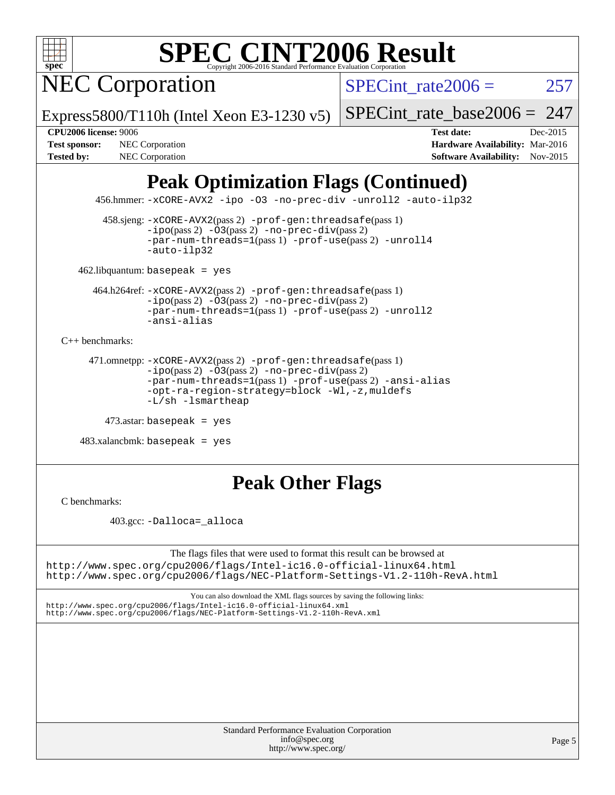NEC Corporation

SPECint rate $2006 = 257$ 

Express5800/T110h (Intel Xeon E3-1230 v5)

[SPECint\\_rate\\_base2006 =](http://www.spec.org/auto/cpu2006/Docs/result-fields.html#SPECintratebase2006) 247

**[CPU2006 license:](http://www.spec.org/auto/cpu2006/Docs/result-fields.html#CPU2006license)** 9006 **[Test date:](http://www.spec.org/auto/cpu2006/Docs/result-fields.html#Testdate)** Dec-2015 **[Test sponsor:](http://www.spec.org/auto/cpu2006/Docs/result-fields.html#Testsponsor)** NEC Corporation **NEC Corporation [Hardware Availability:](http://www.spec.org/auto/cpu2006/Docs/result-fields.html#HardwareAvailability)** Mar-2016 **[Tested by:](http://www.spec.org/auto/cpu2006/Docs/result-fields.html#Testedby)** NEC Corporation **[Software Availability:](http://www.spec.org/auto/cpu2006/Docs/result-fields.html#SoftwareAvailability)** Nov-2015

## **[Peak Optimization Flags \(Continued\)](http://www.spec.org/auto/cpu2006/Docs/result-fields.html#PeakOptimizationFlags)**

456.hmmer: [-xCORE-AVX2](http://www.spec.org/cpu2006/results/res2016q1/cpu2006-20160125-38820.flags.html#user_peakCOPTIMIZE456_hmmer_f-xAVX2_5f5fc0cbe2c9f62c816d3e45806c70d7) [-ipo](http://www.spec.org/cpu2006/results/res2016q1/cpu2006-20160125-38820.flags.html#user_peakCOPTIMIZE456_hmmer_f-ipo) [-O3](http://www.spec.org/cpu2006/results/res2016q1/cpu2006-20160125-38820.flags.html#user_peakCOPTIMIZE456_hmmer_f-O3) [-no-prec-div](http://www.spec.org/cpu2006/results/res2016q1/cpu2006-20160125-38820.flags.html#user_peakCOPTIMIZE456_hmmer_f-no-prec-div) [-unroll2](http://www.spec.org/cpu2006/results/res2016q1/cpu2006-20160125-38820.flags.html#user_peakCOPTIMIZE456_hmmer_f-unroll_784dae83bebfb236979b41d2422d7ec2) [-auto-ilp32](http://www.spec.org/cpu2006/results/res2016q1/cpu2006-20160125-38820.flags.html#user_peakCOPTIMIZE456_hmmer_f-auto-ilp32)

 458.sjeng: [-xCORE-AVX2](http://www.spec.org/cpu2006/results/res2016q1/cpu2006-20160125-38820.flags.html#user_peakPASS2_CFLAGSPASS2_LDCFLAGS458_sjeng_f-xAVX2_5f5fc0cbe2c9f62c816d3e45806c70d7)(pass 2) [-prof-gen:threadsafe](http://www.spec.org/cpu2006/results/res2016q1/cpu2006-20160125-38820.flags.html#user_peakPASS1_CFLAGSPASS1_LDCFLAGS458_sjeng_prof_gen_21a26eb79f378b550acd7bec9fe4467a)(pass 1)  $-i\text{po}(pass 2) -03(pass 2) -no-prec-div(pass 2)$  $-i\text{po}(pass 2) -03(pass 2) -no-prec-div(pass 2)$  $-i\text{po}(pass 2) -03(pass 2) -no-prec-div(pass 2)$ [-par-num-threads=1](http://www.spec.org/cpu2006/results/res2016q1/cpu2006-20160125-38820.flags.html#user_peakPASS1_CFLAGSPASS1_LDCFLAGS458_sjeng_par_num_threads_786a6ff141b4e9e90432e998842df6c2)(pass 1) [-prof-use](http://www.spec.org/cpu2006/results/res2016q1/cpu2006-20160125-38820.flags.html#user_peakPASS2_CFLAGSPASS2_LDCFLAGS458_sjeng_prof_use_bccf7792157ff70d64e32fe3e1250b55)(pass 2) [-unroll4](http://www.spec.org/cpu2006/results/res2016q1/cpu2006-20160125-38820.flags.html#user_peakCOPTIMIZE458_sjeng_f-unroll_4e5e4ed65b7fd20bdcd365bec371b81f) [-auto-ilp32](http://www.spec.org/cpu2006/results/res2016q1/cpu2006-20160125-38820.flags.html#user_peakCOPTIMIZE458_sjeng_f-auto-ilp32)

462.libquantum: basepeak = yes

 464.h264ref: [-xCORE-AVX2](http://www.spec.org/cpu2006/results/res2016q1/cpu2006-20160125-38820.flags.html#user_peakPASS2_CFLAGSPASS2_LDCFLAGS464_h264ref_f-xAVX2_5f5fc0cbe2c9f62c816d3e45806c70d7)(pass 2) [-prof-gen:threadsafe](http://www.spec.org/cpu2006/results/res2016q1/cpu2006-20160125-38820.flags.html#user_peakPASS1_CFLAGSPASS1_LDCFLAGS464_h264ref_prof_gen_21a26eb79f378b550acd7bec9fe4467a)(pass 1)  $-i\text{po}(pass 2) -\overline{O}3(pass 2)$  [-no-prec-div](http://www.spec.org/cpu2006/results/res2016q1/cpu2006-20160125-38820.flags.html#user_peakPASS2_CFLAGSPASS2_LDCFLAGS464_h264ref_f-no-prec-div)(pass 2) [-par-num-threads=1](http://www.spec.org/cpu2006/results/res2016q1/cpu2006-20160125-38820.flags.html#user_peakPASS1_CFLAGSPASS1_LDCFLAGS464_h264ref_par_num_threads_786a6ff141b4e9e90432e998842df6c2)(pass 1) [-prof-use](http://www.spec.org/cpu2006/results/res2016q1/cpu2006-20160125-38820.flags.html#user_peakPASS2_CFLAGSPASS2_LDCFLAGS464_h264ref_prof_use_bccf7792157ff70d64e32fe3e1250b55)(pass 2) [-unroll2](http://www.spec.org/cpu2006/results/res2016q1/cpu2006-20160125-38820.flags.html#user_peakCOPTIMIZE464_h264ref_f-unroll_784dae83bebfb236979b41d2422d7ec2) [-ansi-alias](http://www.spec.org/cpu2006/results/res2016q1/cpu2006-20160125-38820.flags.html#user_peakCOPTIMIZE464_h264ref_f-ansi-alias)

[C++ benchmarks:](http://www.spec.org/auto/cpu2006/Docs/result-fields.html#CXXbenchmarks)

```
 471.omnetpp: -xCORE-AVX2(pass 2) -prof-gen:threadsafe(pass 1)
-ipo(pass 2) -O3(pass 2) -no-prec-div(pass 2)
-par-num-threads=1(pass 1) -prof-use(pass 2) -ansi-alias
-opt-ra-region-strategy=block -Wl,-z,muldefs
-L/sh -lsmartheap
```

```
 473.astar: basepeak = yes
```
 $483.xalanchmk: basepeak = yes$ 

### **[Peak Other Flags](http://www.spec.org/auto/cpu2006/Docs/result-fields.html#PeakOtherFlags)**

[C benchmarks](http://www.spec.org/auto/cpu2006/Docs/result-fields.html#Cbenchmarks):

403.gcc: [-Dalloca=\\_alloca](http://www.spec.org/cpu2006/results/res2016q1/cpu2006-20160125-38820.flags.html#b403.gcc_peakEXTRA_CFLAGS_Dalloca_be3056838c12de2578596ca5467af7f3)

The flags files that were used to format this result can be browsed at <http://www.spec.org/cpu2006/flags/Intel-ic16.0-official-linux64.html> <http://www.spec.org/cpu2006/flags/NEC-Platform-Settings-V1.2-110h-RevA.html>

You can also download the XML flags sources by saving the following links:

<http://www.spec.org/cpu2006/flags/Intel-ic16.0-official-linux64.xml> <http://www.spec.org/cpu2006/flags/NEC-Platform-Settings-V1.2-110h-RevA.xml>